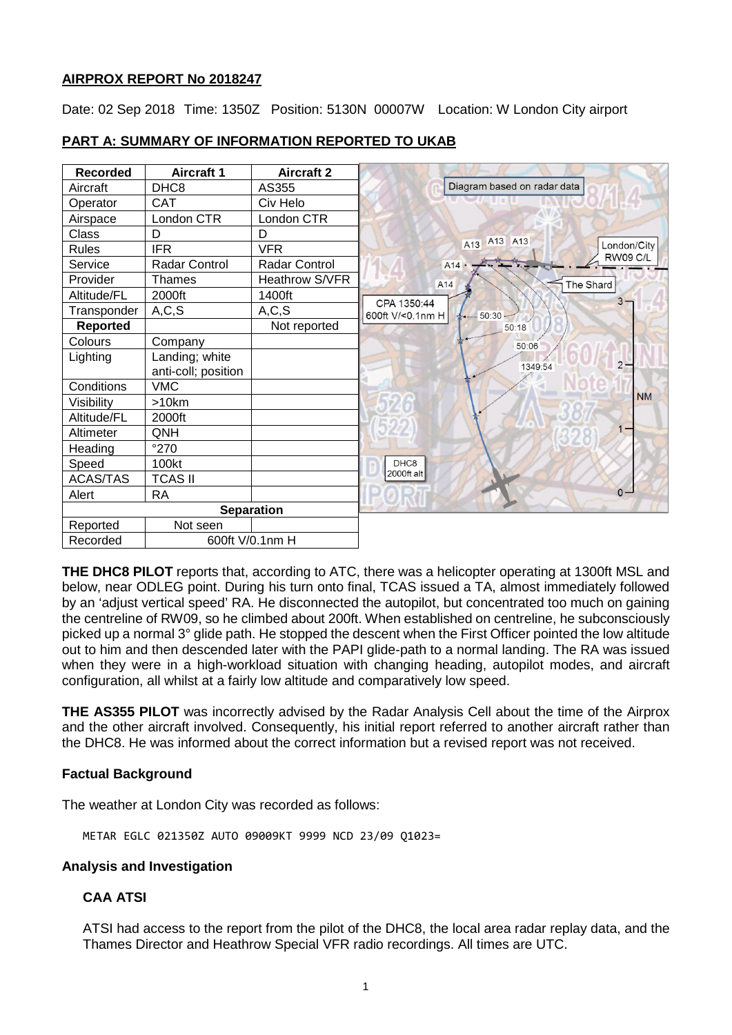## **AIRPROX REPORT No 2018247**

Date: 02 Sep 2018 Time: 1350Z Position: 5130N 00007W Location: W London City airport

| <b>Recorded</b>   | <b>Aircraft 1</b>    | <b>Aircraft 2</b> |                  |                             |                 |
|-------------------|----------------------|-------------------|------------------|-----------------------------|-----------------|
| Aircraft          | DHC <sub>8</sub>     | AS355             |                  | Diagram based on radar data |                 |
| Operator          | <b>CAT</b>           | Civ Helo          |                  |                             |                 |
| Airspace          | London CTR           | London CTR        |                  |                             |                 |
| Class             | D                    | D                 |                  | A13 A13                     |                 |
| <b>Rules</b>      | <b>IFR</b>           | <b>VFR</b>        |                  | A13                         | London/City     |
| Service           | <b>Radar Control</b> | Radar Control     |                  | A14                         | <b>RW09 C/L</b> |
| Provider          | Thames               | Heathrow S/VFR    | A14              |                             | The Shard       |
| Altitude/FL       | 2000ft               | 1400ft            | CPA 1350:44      |                             | $3 -$           |
| Transponder       | A, C, S              | A, C, S           | 600ft V/<0.1nm H | $\frac{1}{2}$ 50:30         |                 |
| <b>Reported</b>   |                      | Not reported      |                  | 50:18                       |                 |
| Colours           | Company              |                   |                  | 50:06                       |                 |
| Lighting          | Landing; white       |                   |                  |                             | $2 -$           |
|                   | anti-coll; position  |                   |                  | 1349:54                     |                 |
| Conditions        | <b>VMC</b>           |                   |                  |                             |                 |
| Visibility        | >10km                |                   |                  |                             | <b>NM</b>       |
| Altitude/FL       | 2000ft               |                   |                  |                             |                 |
| Altimeter         | QNH                  |                   |                  |                             |                 |
| Heading           | $^{\circ}270$        |                   |                  |                             |                 |
| Speed             | 100kt                |                   | DHC8             |                             |                 |
| <b>ACAS/TAS</b>   | <b>TCAS II</b>       |                   | 2000ft alt       |                             |                 |
| Alert             | <b>RA</b>            |                   |                  |                             | $\Omega$ -      |
| <b>Separation</b> |                      |                   |                  |                             |                 |
| Reported          | Not seen             |                   |                  |                             |                 |
| Recorded          | 600ft V/0.1nm H      |                   |                  |                             |                 |

# **PART A: SUMMARY OF INFORMATION REPORTED TO UKAB**

**THE DHC8 PILOT** reports that, according to ATC, there was a helicopter operating at 1300ft MSL and below, near ODLEG point. During his turn onto final, TCAS issued a TA, almost immediately followed by an 'adjust vertical speed' RA. He disconnected the autopilot, but concentrated too much on gaining the centreline of RW09, so he climbed about 200ft. When established on centreline, he subconsciously picked up a normal 3° glide path. He stopped the descent when the First Officer pointed the low altitude out to him and then descended later with the PAPI glide-path to a normal landing. The RA was issued when they were in a high-workload situation with changing heading, autopilot modes, and aircraft configuration, all whilst at a fairly low altitude and comparatively low speed.

**THE AS355 PILOT** was incorrectly advised by the Radar Analysis Cell about the time of the Airprox and the other aircraft involved. Consequently, his initial report referred to another aircraft rather than the DHC8. He was informed about the correct information but a revised report was not received.

## **Factual Background**

The weather at London City was recorded as follows:

METAR EGLC 021350Z AUTO 09009KT 9999 NCD 23/09 Q1023=

## **Analysis and Investigation**

## **CAA ATSI**

ATSI had access to the report from the pilot of the DHC8, the local area radar replay data, and the Thames Director and Heathrow Special VFR radio recordings. All times are UTC.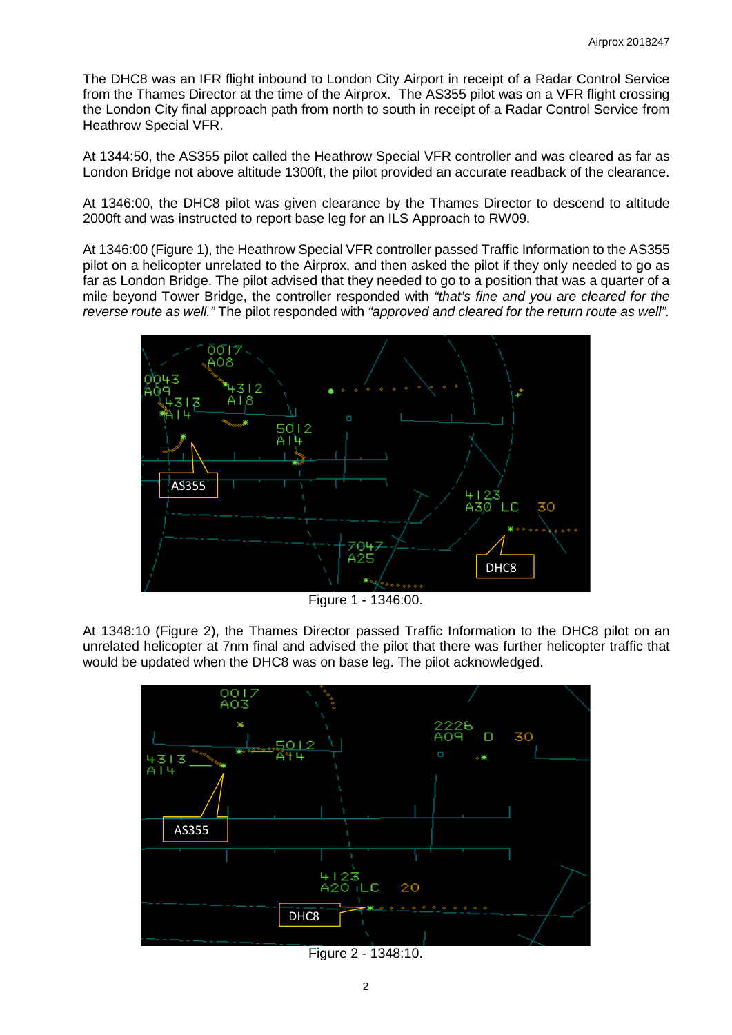The DHC8 was an IFR flight inbound to London City Airport in receipt of a Radar Control Service from the Thames Director at the time of the Airprox. The AS355 pilot was on a VFR flight crossing the London City final approach path from north to south in receipt of a Radar Control Service from Heathrow Special VFR.

At 1344:50, the AS355 pilot called the Heathrow Special VFR controller and was cleared as far as London Bridge not above altitude 1300ft, the pilot provided an accurate readback of the clearance.

At 1346:00, the DHC8 pilot was given clearance by the Thames Director to descend to altitude 2000ft and was instructed to report base leg for an ILS Approach to RW09.

At 1346:00 (Figure 1), the Heathrow Special VFR controller passed Traffic Information to the AS355 pilot on a helicopter unrelated to the Airprox, and then asked the pilot if they only needed to go as far as London Bridge. The pilot advised that they needed to go to a position that was a quarter of a mile beyond Tower Bridge, the controller responded with *"that's fine and you are cleared for the reverse route as well."* The pilot responded with *"approved and cleared for the return route as well".*



Figure 1 - 1346:00.

At 1348:10 (Figure 2), the Thames Director passed Traffic Information to the DHC8 pilot on an unrelated helicopter at 7nm final and advised the pilot that there was further helicopter traffic that would be updated when the DHC8 was on base leg. The pilot acknowledged.



Figure 2 - 1348:10.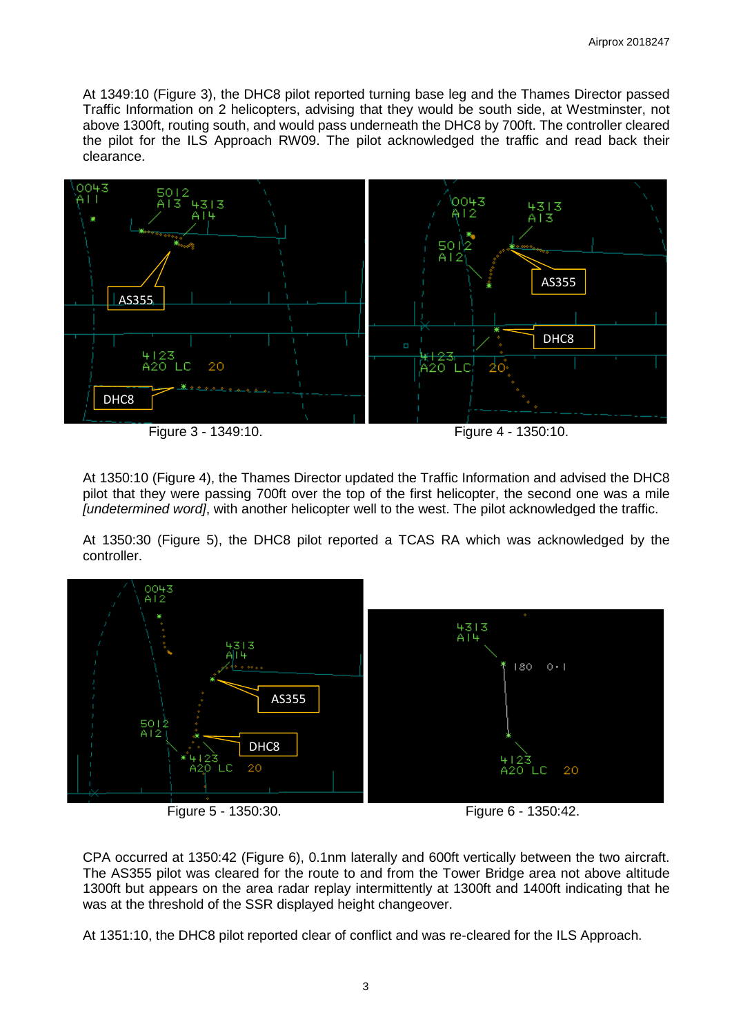At 1349:10 (Figure 3), the DHC8 pilot reported turning base leg and the Thames Director passed Traffic Information on 2 helicopters, advising that they would be south side, at Westminster, not above 1300ft, routing south, and would pass underneath the DHC8 by 700ft. The controller cleared the pilot for the ILS Approach RW09. The pilot acknowledged the traffic and read back their clearance.



At 1350:10 (Figure 4), the Thames Director updated the Traffic Information and advised the DHC8 pilot that they were passing 700ft over the top of the first helicopter, the second one was a mile *[undetermined word]*, with another helicopter well to the west. The pilot acknowledged the traffic.

At 1350:30 (Figure 5), the DHC8 pilot reported a TCAS RA which was acknowledged by the controller.



CPA occurred at 1350:42 (Figure 6), 0.1nm laterally and 600ft vertically between the two aircraft. The AS355 pilot was cleared for the route to and from the Tower Bridge area not above altitude 1300ft but appears on the area radar replay intermittently at 1300ft and 1400ft indicating that he was at the threshold of the SSR displayed height changeover.

At 1351:10, the DHC8 pilot reported clear of conflict and was re-cleared for the ILS Approach.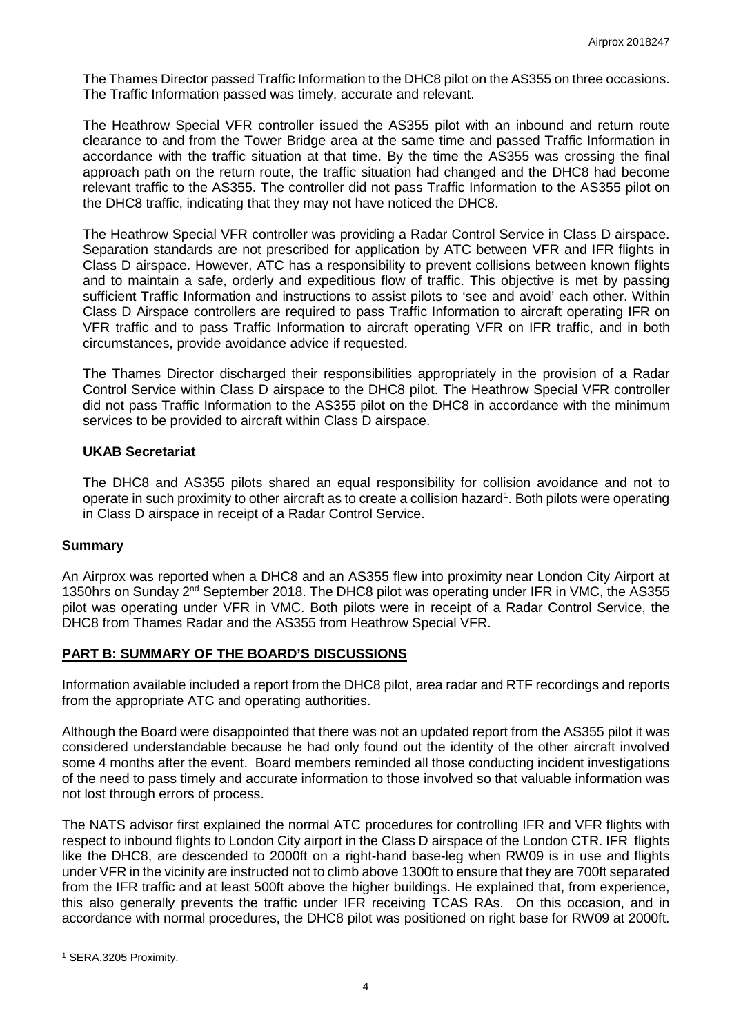The Thames Director passed Traffic Information to the DHC8 pilot on the AS355 on three occasions. The Traffic Information passed was timely, accurate and relevant.

The Heathrow Special VFR controller issued the AS355 pilot with an inbound and return route clearance to and from the Tower Bridge area at the same time and passed Traffic Information in accordance with the traffic situation at that time. By the time the AS355 was crossing the final approach path on the return route, the traffic situation had changed and the DHC8 had become relevant traffic to the AS355. The controller did not pass Traffic Information to the AS355 pilot on the DHC8 traffic, indicating that they may not have noticed the DHC8.

The Heathrow Special VFR controller was providing a Radar Control Service in Class D airspace. Separation standards are not prescribed for application by ATC between VFR and IFR flights in Class D airspace. However, ATC has a responsibility to prevent collisions between known flights and to maintain a safe, orderly and expeditious flow of traffic. This objective is met by passing sufficient Traffic Information and instructions to assist pilots to 'see and avoid' each other. Within Class D Airspace controllers are required to pass Traffic Information to aircraft operating IFR on VFR traffic and to pass Traffic Information to aircraft operating VFR on IFR traffic, and in both circumstances, provide avoidance advice if requested.

The Thames Director discharged their responsibilities appropriately in the provision of a Radar Control Service within Class D airspace to the DHC8 pilot. The Heathrow Special VFR controller did not pass Traffic Information to the AS355 pilot on the DHC8 in accordance with the minimum services to be provided to aircraft within Class D airspace.

## **UKAB Secretariat**

The DHC8 and AS355 pilots shared an equal responsibility for collision avoidance and not to operate in such proximity to other aircraft as to create a collision hazard<sup>[1](#page-3-0)</sup>. Both pilots were operating in Class D airspace in receipt of a Radar Control Service.

#### **Summary**

An Airprox was reported when a DHC8 and an AS355 flew into proximity near London City Airport at 1350hrs on Sunday 2<sup>nd</sup> September 2018. The DHC8 pilot was operating under IFR in VMC, the AS355 pilot was operating under VFR in VMC. Both pilots were in receipt of a Radar Control Service, the DHC8 from Thames Radar and the AS355 from Heathrow Special VFR.

## **PART B: SUMMARY OF THE BOARD'S DISCUSSIONS**

Information available included a report from the DHC8 pilot, area radar and RTF recordings and reports from the appropriate ATC and operating authorities.

Although the Board were disappointed that there was not an updated report from the AS355 pilot it was considered understandable because he had only found out the identity of the other aircraft involved some 4 months after the event. Board members reminded all those conducting incident investigations of the need to pass timely and accurate information to those involved so that valuable information was not lost through errors of process.

The NATS advisor first explained the normal ATC procedures for controlling IFR and VFR flights with respect to inbound flights to London City airport in the Class D airspace of the London CTR. IFR flights like the DHC8, are descended to 2000ft on a right-hand base-leg when RW09 is in use and flights under VFR in the vicinity are instructed not to climb above 1300ft to ensure that they are 700ft separated from the IFR traffic and at least 500ft above the higher buildings. He explained that, from experience, this also generally prevents the traffic under IFR receiving TCAS RAs. On this occasion, and in accordance with normal procedures, the DHC8 pilot was positioned on right base for RW09 at 2000ft.

 $\overline{\phantom{a}}$ 

<span id="page-3-0"></span><sup>1</sup> SERA.3205 Proximity.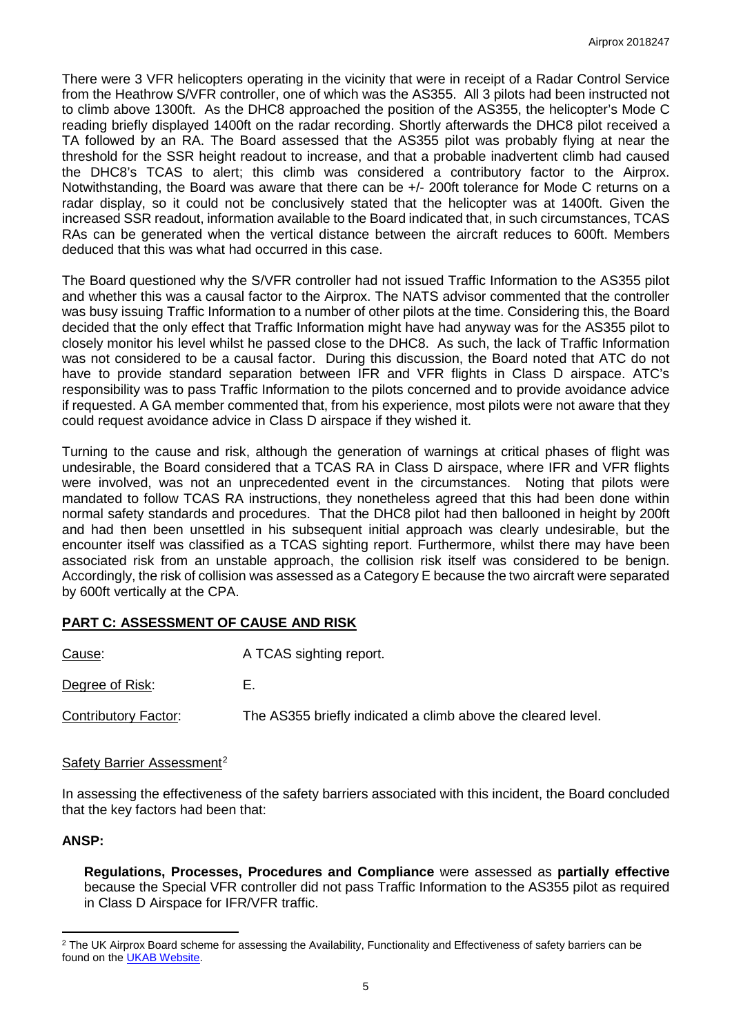There were 3 VFR helicopters operating in the vicinity that were in receipt of a Radar Control Service from the Heathrow S/VFR controller, one of which was the AS355. All 3 pilots had been instructed not to climb above 1300ft. As the DHC8 approached the position of the AS355, the helicopter's Mode C reading briefly displayed 1400ft on the radar recording. Shortly afterwards the DHC8 pilot received a TA followed by an RA. The Board assessed that the AS355 pilot was probably flying at near the threshold for the SSR height readout to increase, and that a probable inadvertent climb had caused the DHC8's TCAS to alert; this climb was considered a contributory factor to the Airprox. Notwithstanding, the Board was aware that there can be +/- 200ft tolerance for Mode C returns on a radar display, so it could not be conclusively stated that the helicopter was at 1400ft. Given the increased SSR readout, information available to the Board indicated that, in such circumstances, TCAS RAs can be generated when the vertical distance between the aircraft reduces to 600ft. Members deduced that this was what had occurred in this case.

The Board questioned why the S/VFR controller had not issued Traffic Information to the AS355 pilot and whether this was a causal factor to the Airprox. The NATS advisor commented that the controller was busy issuing Traffic Information to a number of other pilots at the time. Considering this, the Board decided that the only effect that Traffic Information might have had anyway was for the AS355 pilot to closely monitor his level whilst he passed close to the DHC8. As such, the lack of Traffic Information was not considered to be a causal factor. During this discussion, the Board noted that ATC do not have to provide standard separation between IFR and VFR flights in Class D airspace. ATC's responsibility was to pass Traffic Information to the pilots concerned and to provide avoidance advice if requested. A GA member commented that, from his experience, most pilots were not aware that they could request avoidance advice in Class D airspace if they wished it.

Turning to the cause and risk, although the generation of warnings at critical phases of flight was undesirable, the Board considered that a TCAS RA in Class D airspace, where IFR and VFR flights were involved, was not an unprecedented event in the circumstances. Noting that pilots were mandated to follow TCAS RA instructions, they nonetheless agreed that this had been done within normal safety standards and procedures. That the DHC8 pilot had then ballooned in height by 200ft and had then been unsettled in his subsequent initial approach was clearly undesirable, but the encounter itself was classified as a TCAS sighting report. Furthermore, whilst there may have been associated risk from an unstable approach, the collision risk itself was considered to be benign. Accordingly, the risk of collision was assessed as a Category E because the two aircraft were separated by 600ft vertically at the CPA.

## **PART C: ASSESSMENT OF CAUSE AND RISK**

| Cause:               | A TCAS sighting report.                                      |
|----------------------|--------------------------------------------------------------|
| Degree of Risk:      | E.                                                           |
| Contributory Factor: | The AS355 briefly indicated a climb above the cleared level. |

#### Safety Barrier Assessment<sup>[2](#page-4-0)</sup>

In assessing the effectiveness of the safety barriers associated with this incident, the Board concluded that the key factors had been that:

## **ANSP:**

l

**Regulations, Processes, Procedures and Compliance** were assessed as **partially effective** because the Special VFR controller did not pass Traffic Information to the AS355 pilot as required in Class D Airspace for IFR/VFR traffic.

<span id="page-4-0"></span><sup>&</sup>lt;sup>2</sup> The UK Airprox Board scheme for assessing the Availability, Functionality and Effectiveness of safety barriers can be found on the [UKAB Website.](http://www.airproxboard.org.uk/Learn-more/Airprox-Barrier-Assessment/)